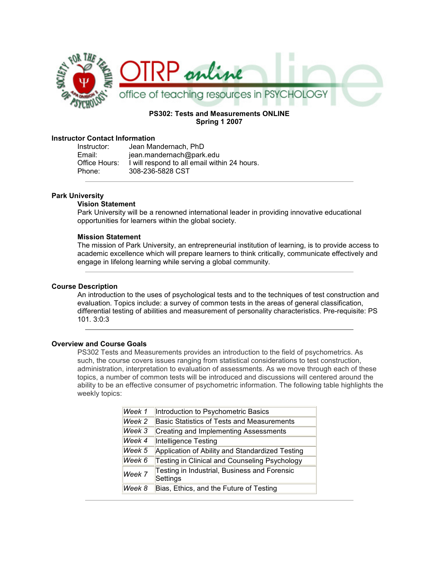

## PS302: Tests and Measurements ONLINE Spring 1 2007

### Instructor Contact Information

| Instructor:   | Jean Mandernach, PhD                         |
|---------------|----------------------------------------------|
| Email:        | jean.mandernach@park.edu                     |
| Office Hours: | I will respond to all email within 24 hours. |
| Phone:        | 308-236-5828 CST                             |

#### Park University

#### Vision Statement

Park University will be a renowned international leader in providing innovative educational opportunities for learners within the global society.

#### Mission Statement

The mission of Park University, an entrepreneurial institution of learning, is to provide access to academic excellence which will prepare learners to think critically, communicate effectively and engage in lifelong learning while serving a global community.

#### Course Description

An introduction to the uses of psychological tests and to the techniques of test construction and evaluation. Topics include: a survey of common tests in the areas of general classification, differential testing of abilities and measurement of personality characteristics. Pre-requisite: PS 101. 3:0:3

#### Overview and Course Goals

PS302 Tests and Measurements provides an introduction to the field of psychometrics. As such, the course covers issues ranging from statistical considerations to test construction, administration, interpretation to evaluation of assessments. As we move through each of these topics, a number of common tests will be introduced and discussions will centered around the ability to be an effective consumer of psychometric information. The following table highlights the weekly topics:

| Week 1 | Introduction to Psychometric Basics                      |
|--------|----------------------------------------------------------|
| Week 2 | <b>Basic Statistics of Tests and Measurements</b>        |
| Week 3 | Creating and Implementing Assessments                    |
| Week 4 | Intelligence Testing                                     |
| Week 5 | Application of Ability and Standardized Testing          |
| Week 6 | Testing in Clinical and Counseling Psychology            |
| Week 7 | Testing in Industrial, Business and Forensic<br>Settings |
| Week 8 | Bias, Ethics, and the Future of Testing                  |
|        |                                                          |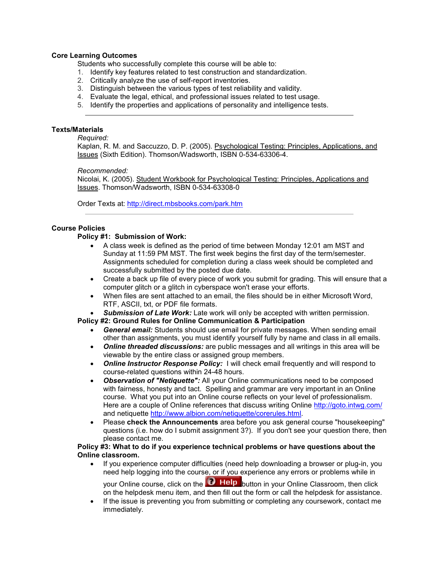### Core Learning Outcomes

Students who successfully complete this course will be able to:

- 1. Identify key features related to test construction and standardization.
- 2. Critically analyze the use of self-report inventories.
- 3. Distinguish between the various types of test reliability and validity.
- 4. Evaluate the legal, ethical, and professional issues related to test usage.
- 5. Identify the properties and applications of personality and intelligence tests.

## Texts/Materials

### Required:

Kaplan, R. M. and Saccuzzo, D. P. (2005). Psychological Testing: Principles, Applications, and Issues (Sixth Edition). Thomson/Wadsworth, ISBN 0-534-63306-4.

### Recommended:

Nicolai, K. (2005). Student Workbook for Psychological Testing: Principles, Applications and Issues. Thomson/Wadsworth, ISBN 0-534-63308-0

Order Texts at: http://direct.mbsbooks.com/park.htm

## Course Policies

## Policy #1: Submission of Work:

- A class week is defined as the period of time between Monday 12:01 am MST and Sunday at 11:59 PM MST. The first week begins the first day of the term/semester. Assignments scheduled for completion during a class week should be completed and successfully submitted by the posted due date.
- Create a back up file of every piece of work you submit for grading. This will ensure that a computer glitch or a glitch in cyberspace won't erase your efforts.
- When files are sent attached to an email, the files should be in either Microsoft Word, RTF, ASCII, txt, or PDF file formats.
- Submission of Late Work: Late work will only be accepted with written permission.

### Policy #2: Ground Rules for Online Communication & Participation

- General email: Students should use email for private messages. When sending email other than assignments, you must identify yourself fully by name and class in all emails.
- Online threaded discussions: are public messages and all writings in this area will be viewable by the entire class or assigned group members.
- Online Instructor Response Policy: I will check email frequently and will respond to course-related questions within 24-48 hours.
- Observation of "Netiquette": All your Online communications need to be composed with fairness, honesty and tact. Spelling and grammar are very important in an Online course. What you put into an Online course reflects on your level of professionalism. Here are a couple of Online references that discuss writing Online http://goto.intwg.com/ and netiquette http://www.albion.com/netiquette/corerules.html.
- Please check the Announcements area before you ask general course "housekeeping" questions (i.e. how do I submit assignment 3?). If you don't see your question there, then please contact me.

### Policy #3: What to do if you experience technical problems or have questions about the Online classroom.

- If you experience computer difficulties (need help downloading a browser or plug-in, you need help logging into the course, or if you experience any errors or problems while in your Online course, click on the **button** button in your Online Classroom, then click on the helpdesk menu item, and then fill out the form or call the helpdesk for assistance.
- If the issue is preventing you from submitting or completing any coursework, contact me immediately.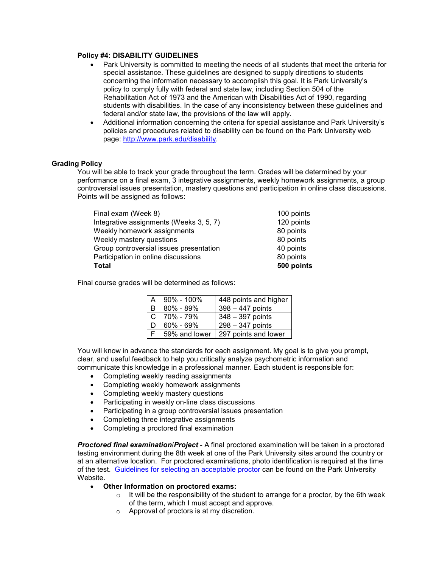#### Policy #4: DISABILITY GUIDELINES

- Park University is committed to meeting the needs of all students that meet the criteria for special assistance. These guidelines are designed to supply directions to students concerning the information necessary to accomplish this goal. It is Park University's policy to comply fully with federal and state law, including Section 504 of the Rehabilitation Act of 1973 and the American with Disabilities Act of 1990, regarding students with disabilities. In the case of any inconsistency between these guidelines and federal and/or state law, the provisions of the law will apply.
- Additional information concerning the criteria for special assistance and Park University's policies and procedures related to disability can be found on the Park University web page: http://www.park.edu/disability.

### Grading Policy

You will be able to track your grade throughout the term. Grades will be determined by your performance on a final exam, 3 integrative assignments, weekly homework assignments, a group controversial issues presentation, mastery questions and participation in online class discussions. Points will be assigned as follows:

| 100 points |
|------------|
| 120 points |
| 80 points  |
| 80 points  |
| 40 points  |
| 80 points  |
| 500 points |
|            |

Final course grades will be determined as follows:

| A            | $90\% - 100\%$ | 448 points and higher |
|--------------|----------------|-----------------------|
| B.           | 80% - 89%      | $398 - 447$ points    |
| $\mathsf{C}$ | 70% - 79%      | $348 - 397$ points    |
| D.           | 60% - 69%      | 298 - 347 points      |
|              | 59% and lower  | 297 points and lower  |

You will know in advance the standards for each assignment. My goal is to give you prompt, clear, and useful feedback to help you critically analyze psychometric information and communicate this knowledge in a professional manner. Each student is responsible for:

- Completing weekly reading assignments
- Completing weekly homework assignments
- Completing weekly mastery questions
- Participating in weekly on-line class discussions
- Participating in a group controversial issues presentation
- Completing three integrative assignments
- Completing a proctored final examination

**Proctored final examination/Project** - A final proctored examination will be taken in a proctored testing environment during the 8th week at one of the Park University sites around the country or at an alternative location. For proctored examinations, photo identification is required at the time of the test. Guidelines for selecting an acceptable proctor can be found on the Park University Website.

- Other Information on proctored exams:
	- $\circ$  It will be the responsibility of the student to arrange for a proctor, by the 6th week of the term, which I must accept and approve.
	- o Approval of proctors is at my discretion.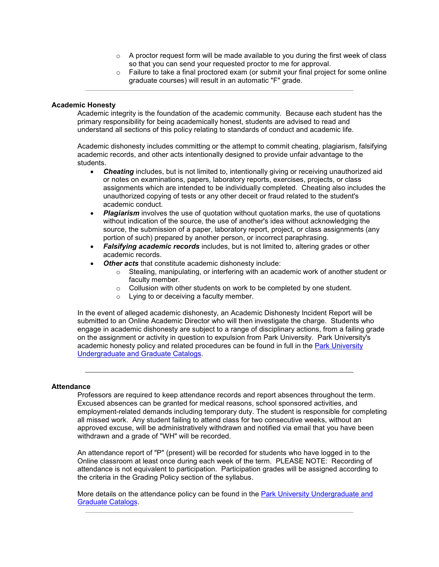- $\circ$  A proctor request form will be made available to you during the first week of class so that you can send your requested proctor to me for approval.
- $\circ$  Failure to take a final proctored exam (or submit your final project for some online graduate courses) will result in an automatic "F" grade.

#### Academic Honesty

Academic integrity is the foundation of the academic community. Because each student has the primary responsibility for being academically honest, students are advised to read and understand all sections of this policy relating to standards of conduct and academic life.

Academic dishonesty includes committing or the attempt to commit cheating, plagiarism, falsifying academic records, and other acts intentionally designed to provide unfair advantage to the students.

- **Cheating** includes, but is not limited to, intentionally giving or receiving unauthorized aid or notes on examinations, papers, laboratory reports, exercises, projects, or class assignments which are intended to be individually completed. Cheating also includes the unauthorized copying of tests or any other deceit or fraud related to the student's academic conduct.
- Plagiarism involves the use of quotation without quotation marks, the use of quotations without indication of the source, the use of another's idea without acknowledging the source, the submission of a paper, laboratory report, project, or class assignments (any portion of such) prepared by another person, or incorrect paraphrasing.
- Falsifying academic records includes, but is not limited to, altering grades or other academic records.
- Other acts that constitute academic dishonesty include:
	- o Stealing, manipulating, or interfering with an academic work of another student or faculty member.
	- o Collusion with other students on work to be completed by one student.
	- o Lying to or deceiving a faculty member.

In the event of alleged academic dishonesty, an Academic Dishonesty Incident Report will be submitted to an Online Academic Director who will then investigate the charge. Students who engage in academic dishonesty are subject to a range of disciplinary actions, from a failing grade on the assignment or activity in question to expulsion from Park University. Park University's academic honesty policy and related procedures can be found in full in the Park University Undergraduate and Graduate Catalogs.

### **Attendance**

Professors are required to keep attendance records and report absences throughout the term. Excused absences can be granted for medical reasons, school sponsored activities, and employment-related demands including temporary duty. The student is responsible for completing all missed work. Any student failing to attend class for two consecutive weeks, without an approved excuse, will be administratively withdrawn and notified via email that you have been withdrawn and a grade of "WH" will be recorded.

An attendance report of "P" (present) will be recorded for students who have logged in to the Online classroom at least once during each week of the term. PLEASE NOTE: Recording of attendance is not equivalent to participation. Participation grades will be assigned according to the criteria in the Grading Policy section of the syllabus.

More details on the attendance policy can be found in the Park University Undergraduate and Graduate Catalogs.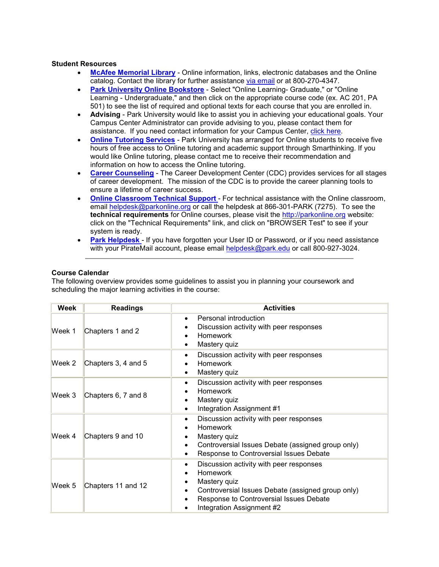#### Student Resources

- McAfee Memorial Library Online information, links, electronic databases and the Online catalog. Contact the library for further assistance via email or at 800-270-4347.
- Park University Online Bookstore Select "Online Learning- Graduate," or "Online Learning - Undergraduate," and then click on the appropriate course code (ex. AC 201, PA 501) to see the list of required and optional texts for each course that you are enrolled in.
- Advising Park University would like to assist you in achieving your educational goals. Your Campus Center Administrator can provide advising to you, please contact them for assistance. If you need contact information for your Campus Center, click here.
- **Online Tutoring Services** Park University has arranged for Online students to receive five hours of free access to Online tutoring and academic support through Smarthinking. If you would like Online tutoring, please contact me to receive their recommendation and information on how to access the Online tutoring.
- **Career Counseling** The Career Development Center (CDC) provides services for all stages of career development. The mission of the CDC is to provide the career planning tools to ensure a lifetime of career success.
- Online Classroom Technical Support For technical assistance with the Online classroom, email helpdesk@parkonline.org or call the helpdesk at 866-301-PARK (7275). To see the technical requirements for Online courses, please visit the http://parkonline.org website: click on the "Technical Requirements" link, and click on "BROWSER Test" to see if your system is ready.
- Park Helpdesk If you have forgotten your User ID or Password, or if you need assistance with your PirateMail account, please email helpdesk@park.edu or call 800-927-3024.

### Course Calendar

The following overview provides some guidelines to assist you in planning your coursework and scheduling the major learning activities in the course:

| Week   | <b>Readings</b>     | <b>Activities</b>                                                                                                                                                                                            |
|--------|---------------------|--------------------------------------------------------------------------------------------------------------------------------------------------------------------------------------------------------------|
| Week 1 | Chapters 1 and 2    | Personal introduction<br>$\bullet$<br>Discussion activity with peer responses<br><b>Homework</b><br>Mastery quiz<br>٠                                                                                        |
| Week 2 | Chapters 3, 4 and 5 | Discussion activity with peer responses<br>$\bullet$<br><b>Homework</b><br>Mastery quiz<br>٠                                                                                                                 |
| Week 3 | Chapters 6, 7 and 8 | Discussion activity with peer responses<br>$\bullet$<br><b>Homework</b><br>Mastery quiz<br>٠<br>Integration Assignment #1<br>٠                                                                               |
| Week 4 | Chapters 9 and 10   | Discussion activity with peer responses<br>$\bullet$<br><b>Homework</b><br>Mastery quiz<br>Controversial Issues Debate (assigned group only)<br>Response to Controversial Issues Debate<br>٠                 |
| Week 5 | Chapters 11 and 12  | Discussion activity with peer responses<br>٠<br><b>Homework</b><br>Mastery quiz<br>Controversial Issues Debate (assigned group only)<br>Response to Controversial Issues Debate<br>Integration Assignment #2 |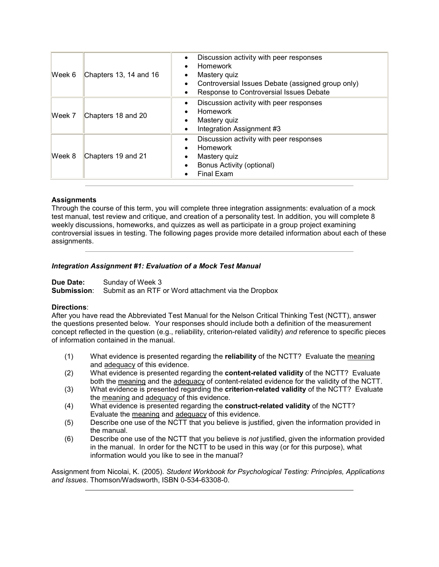| Week 6 | Chapters 13, 14 and 16 | Discussion activity with peer responses<br><b>Homework</b><br>Mastery quiz<br>Controversial Issues Debate (assigned group only)<br>Response to Controversial Issues Debate |
|--------|------------------------|----------------------------------------------------------------------------------------------------------------------------------------------------------------------------|
| Week 7 | Chapters 18 and 20     | Discussion activity with peer responses<br>Homework<br>Mastery quiz<br>Integration Assignment #3                                                                           |
| Week 8 | Chapters 19 and 21     | Discussion activity with peer responses<br><b>Homework</b><br>Mastery quiz<br>Bonus Activity (optional)<br><b>Final Exam</b>                                               |

## **Assignments**

Through the course of this term, you will complete three integration assignments: evaluation of a mock test manual, test review and critique, and creation of a personality test. In addition, you will complete 8 weekly discussions, homeworks, and quizzes as well as participate in a group project examining controversial issues in testing. The following pages provide more detailed information about each of these assignments.

## Integration Assignment #1: Evaluation of a Mock Test Manual

Due Date: Sunday of Week 3 Submission: Submit as an RTF or Word attachment via the Dropbox

### Directions:

After you have read the Abbreviated Test Manual for the Nelson Critical Thinking Test (NCTT), answer the questions presented below. Your responses should include both a definition of the measurement concept reflected in the question (e.g., reliability, criterion-related validity) and reference to specific pieces of information contained in the manual.

- (1) What evidence is presented regarding the **reliability** of the NCTT? Evaluate the meaning and adequacy of this evidence.
- (2) What evidence is presented regarding the **content-related validity** of the NCTT? Evaluate both the meaning and the adequacy of content-related evidence for the validity of the NCTT.
- (3) What evidence is presented regarding the criterion-related validity of the NCTT? Evaluate the meaning and adequacy of this evidence.
- (4) What evidence is presented regarding the construct-related validity of the NCTT? Evaluate the meaning and adequacy of this evidence.
- (5) Describe one use of the NCTT that you believe is justified, given the information provided in the manual.
- (6) Describe one use of the NCTT that you believe is not justified, given the information provided in the manual. In order for the NCTT to be used in this way (or for this purpose), what information would you like to see in the manual?

Assignment from Nicolai, K. (2005). Student Workbook for Psychological Testing: Principles, Applications and Issues. Thomson/Wadsworth, ISBN 0-534-63308-0.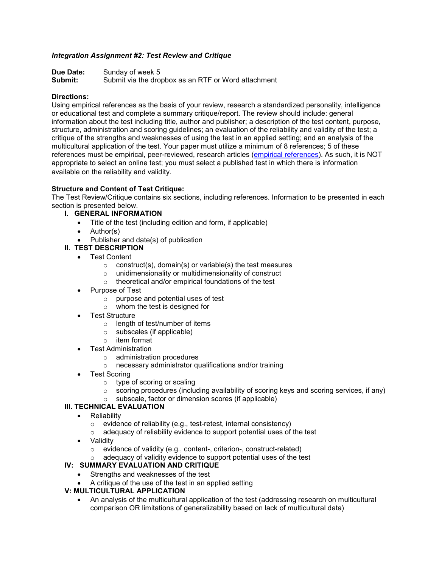## Integration Assignment #2: Test Review and Critique

Due Date: Sunday of week 5 Submit: Submit via the dropbox as an RTF or Word attachment

### Directions:

Using empirical references as the basis of your review, research a standardized personality, intelligence or educational test and complete a summary critique/report. The review should include: general information about the test including title, author and publisher; a description of the test content, purpose, structure, administration and scoring guidelines; an evaluation of the reliability and validity of the test; a critique of the strengths and weaknesses of using the test in an applied setting; and an analysis of the multicultural application of the test. Your paper must utilize a minimum of 8 references; 5 of these references must be empirical, peer-reviewed, research articles (empirical references). As such, it is NOT appropriate to select an online test; you must select a published test in which there is information available on the reliability and validity.

## Structure and Content of Test Critique:

The Test Review/Critique contains six sections, including references. Information to be presented in each section is presented below.

- I. GENERAL INFORMATION
	- Title of the test (including edition and form, if applicable)
	- Author(s)
	- Publisher and date(s) of publication
- II. TEST DESCRIPTION
	- Test Content
		- $\circ$  construct(s), domain(s) or variable(s) the test measures
		- o unidimensionality or multidimensionality of construct
		- o theoretical and/or empirical foundations of the test
	- Purpose of Test
		- o purpose and potential uses of test
		- o whom the test is designed for
	- Test Structure
		- o length of test/number of items
		- o subscales (if applicable)
		- o item format
	- Test Administration
		- o administration procedures
		- o necessary administrator qualifications and/or training
	- **Test Scoring** 
		- o type of scoring or scaling
		- o scoring procedures (including availability of scoring keys and scoring services, if any)
		- o subscale, factor or dimension scores (if applicable)

## III. TECHNICAL EVALUATION

- Reliability
	- o evidence of reliability (e.g., test-retest, internal consistency)
	- $\circ$  adequacy of reliability evidence to support potential uses of the test
- Validity
	- o evidence of validity (e.g., content-, criterion-, construct-related)
	- $\circ$  adequacy of validity evidence to support potential uses of the test

## IV: SUMMARY EVALUATION AND CRITIQUE

- Strengths and weaknesses of the test
- A critique of the use of the test in an applied setting

## V: MULTICULTURAL APPLICATION

• An analysis of the multicultural application of the test (addressing research on multicultural comparison OR limitations of generalizability based on lack of multicultural data)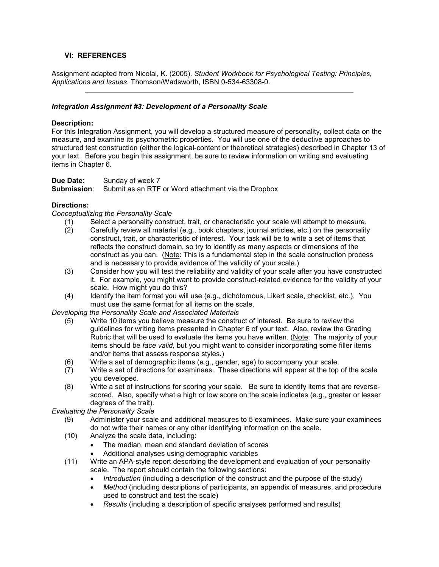# VI: REFERENCES

Assignment adapted from Nicolai, K. (2005). Student Workbook for Psychological Testing: Principles, Applications and Issues. Thomson/Wadsworth, ISBN 0-534-63308-0.

## Integration Assignment #3: Development of a Personality Scale

### Description:

For this Integration Assignment, you will develop a structured measure of personality, collect data on the measure, and examine its psychometric properties. You will use one of the deductive approaches to structured test construction (either the logical-content or theoretical strategies) described in Chapter 13 of your text. Before you begin this assignment, be sure to review information on writing and evaluating items in Chapter 6.

**Due Date:** Sunday of week 7<br>**Submission**: Submit as an RTF Submit as an RTF or Word attachment via the Dropbox

## Directions:

Conceptualizing the Personality Scale

- (1) Select a personality construct, trait, or characteristic your scale will attempt to measure.<br>(2) Carefully review all material (e.g., book chapters, journal articles, etc.) on the personality
- Carefully review all material (e.g., book chapters, journal articles, etc.) on the personality construct, trait, or characteristic of interest. Your task will be to write a set of items that reflects the construct domain, so try to identify as many aspects or dimensions of the construct as you can. (Note: This is a fundamental step in the scale construction process and is necessary to provide evidence of the validity of your scale.)
- (3) Consider how you will test the reliability and validity of your scale after you have constructed it. For example, you might want to provide construct-related evidence for the validity of your scale. How might you do this?
- (4) Identify the item format you will use (e.g., dichotomous, Likert scale, checklist, etc.). You must use the same format for all items on the scale.

Developing the Personality Scale and Associated Materials

- (5) Write 10 items you believe measure the construct of interest. Be sure to review the guidelines for writing items presented in Chapter 6 of your text. Also, review the Grading Rubric that will be used to evaluate the items you have written. (Note: The majority of your items should be face valid, but you might want to consider incorporating some filler items and/or items that assess response styles.)
- (6) Write a set of demographic items (e.g., gender, age) to accompany your scale.
- (7) Write a set of directions for examinees. These directions will appear at the top of the scale you developed.
- (8) Write a set of instructions for scoring your scale. Be sure to identify items that are reversescored. Also, specify what a high or low score on the scale indicates (e.g., greater or lesser degrees of the trait).

Evaluating the Personality Scale

- (9) Administer your scale and additional measures to 5 examinees. Make sure your examinees do not write their names or any other identifying information on the scale.
- (10) Analyze the scale data, including:
	- The median, mean and standard deviation of scores
	- Additional analyses using demographic variables
- (11) Write an APA-style report describing the development and evaluation of your personality scale. The report should contain the following sections:
	- Introduction (including a description of the construct and the purpose of the study)
	- Method (including descriptions of participants, an appendix of measures, and procedure used to construct and test the scale)
	- Results (including a description of specific analyses performed and results)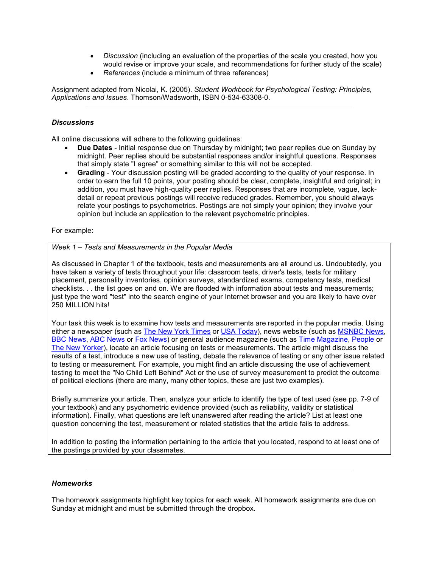- Discussion (including an evaluation of the properties of the scale you created, how you would revise or improve your scale, and recommendations for further study of the scale)
- References (include a minimum of three references)

Assignment adapted from Nicolai, K. (2005). Student Workbook for Psychological Testing: Principles, Applications and Issues. Thomson/Wadsworth, ISBN 0-534-63308-0.

## **Discussions**

All online discussions will adhere to the following guidelines:

- Due Dates Initial response due on Thursday by midnight; two peer replies due on Sunday by midnight. Peer replies should be substantial responses and/or insightful questions. Responses that simply state "I agree" or something similar to this will not be accepted.
- Grading Your discussion posting will be graded according to the quality of your response. In order to earn the full 10 points, your posting should be clear, complete, insightful and original; in addition, you must have high-quality peer replies. Responses that are incomplete, vague, lackdetail or repeat previous postings will receive reduced grades. Remember, you should always relate your postings to psychometrics. Postings are not simply your opinion; they involve your opinion but include an application to the relevant psychometric principles.

## For example:

## Week 1 – Tests and Measurements in the Popular Media

As discussed in Chapter 1 of the textbook, tests and measurements are all around us. Undoubtedly, you have taken a variety of tests throughout your life: classroom tests, driver's tests, tests for military placement, personality inventories, opinion surveys, standardized exams, competency tests, medical checklists. . . the list goes on and on. We are flooded with information about tests and measurements; just type the word "test" into the search engine of your Internet browser and you are likely to have over 250 MILLION hits!

Your task this week is to examine how tests and measurements are reported in the popular media. Using either a newspaper (such as The New York Times or USA Today), news website (such as MSNBC News, BBC News, ABC News or Fox News) or general audience magazine (such as Time Magazine, People or The New Yorker), locate an article focusing on tests or measurements. The article might discuss the results of a test, introduce a new use of testing, debate the relevance of testing or any other issue related to testing or measurement. For example, you might find an article discussing the use of achievement testing to meet the "No Child Left Behind" Act or the use of survey measurement to predict the outcome of political elections (there are many, many other topics, these are just two examples).

Briefly summarize your article. Then, analyze your article to identify the type of test used (see pp. 7-9 of your textbook) and any psychometric evidence provided (such as reliability, validity or statistical information). Finally, what questions are left unanswered after reading the article? List at least one question concerning the test, measurement or related statistics that the article fails to address.

In addition to posting the information pertaining to the article that you located, respond to at least one of the postings provided by your classmates.

### Homeworks

The homework assignments highlight key topics for each week. All homework assignments are due on Sunday at midnight and must be submitted through the dropbox.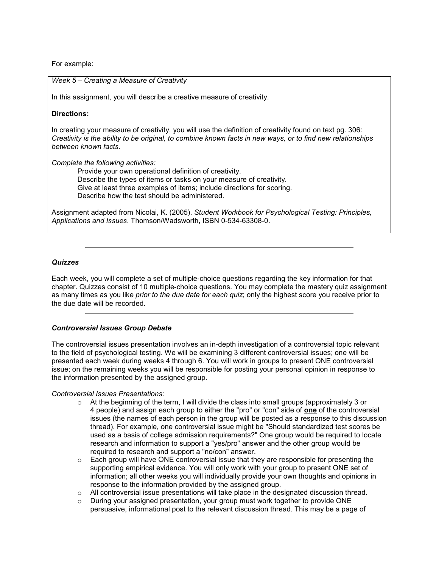For example:

#### Week 5 – Creating a Measure of Creativity

In this assignment, you will describe a creative measure of creativity.

#### Directions:

In creating your measure of creativity, you will use the definition of creativity found on text pg. 306: Creativity is the ability to be original, to combine known facts in new ways, or to find new relationships between known facts.

Complete the following activities:

Provide your own operational definition of creativity. Describe the types of items or tasks on your measure of creativity. Give at least three examples of items; include directions for scoring. Describe how the test should be administered.

Assignment adapted from Nicolai, K. (2005). Student Workbook for Psychological Testing: Principles, Applications and Issues. Thomson/Wadsworth, ISBN 0-534-63308-0.

#### **Quizzes**

Each week, you will complete a set of multiple-choice questions regarding the key information for that chapter. Quizzes consist of 10 multiple-choice questions. You may complete the mastery quiz assignment as many times as you like prior to the due date for each quiz; only the highest score you receive prior to the due date will be recorded.

### Controversial Issues Group Debate

The controversial issues presentation involves an in-depth investigation of a controversial topic relevant to the field of psychological testing. We will be examining 3 different controversial issues; one will be presented each week during weeks 4 through 6. You will work in groups to present ONE controversial issue; on the remaining weeks you will be responsible for posting your personal opinion in response to the information presented by the assigned group.

#### Controversial Issues Presentations:

- $\circ$  At the beginning of the term, I will divide the class into small groups (approximately 3 or 4 people) and assign each group to either the "pro" or "con" side of one of the controversial issues (the names of each person in the group will be posted as a response to this discussion thread). For example, one controversial issue might be "Should standardized test scores be used as a basis of college admission requirements?" One group would be required to locate research and information to support a "yes/pro" answer and the other group would be required to research and support a "no/con" answer.
- $\circ$  Each group will have ONE controversial issue that they are responsible for presenting the supporting empirical evidence. You will only work with your group to present ONE set of information; all other weeks you will individually provide your own thoughts and opinions in response to the information provided by the assigned group.
- $\circ$  All controversial issue presentations will take place in the designated discussion thread.
- $\circ$  During your assigned presentation, your group must work together to provide ONE persuasive, informational post to the relevant discussion thread. This may be a page of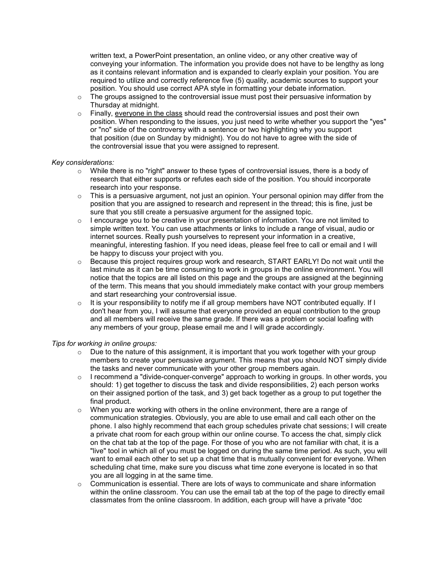written text, a PowerPoint presentation, an online video, or any other creative way of conveying your information. The information you provide does not have to be lengthy as long as it contains relevant information and is expanded to clearly explain your position. You are required to utilize and correctly reference five (5) quality, academic sources to support your position. You should use correct APA style in formatting your debate information.

- $\circ$  The groups assigned to the controversial issue must post their persuasive information by Thursday at midnight.
- $\circ$  Finally, everyone in the class should read the controversial issues and post their own position. When responding to the issues, you just need to write whether you support the "yes" or "no" side of the controversy with a sentence or two highlighting why you support that position (due on Sunday by midnight). You do not have to agree with the side of the controversial issue that you were assigned to represent.

### Key considerations:

- $\circ$  While there is no "right" answer to these types of controversial issues, there is a body of research that either supports or refutes each side of the position. You should incorporate research into your response.
- $\circ$  This is a persuasive argument, not just an opinion. Your personal opinion may differ from the position that you are assigned to research and represent in the thread; this is fine, just be sure that you still create a persuasive argument for the assigned topic.
- o I encourage you to be creative in your presentation of information. You are not limited to simple written text. You can use attachments or links to include a range of visual, audio or internet sources. Really push yourselves to represent your information in a creative, meaningful, interesting fashion. If you need ideas, please feel free to call or email and I will be happy to discuss your project with you.
- o Because this project requires group work and research, START EARLY! Do not wait until the last minute as it can be time consuming to work in groups in the online environment. You will notice that the topics are all listed on this page and the groups are assigned at the beginning of the term. This means that you should immediately make contact with your group members and start researching your controversial issue.
- o It is your responsibility to notify me if all group members have NOT contributed equally. If I don't hear from you, I will assume that everyone provided an equal contribution to the group and all members will receive the same grade. If there was a problem or social loafing with any members of your group, please email me and I will grade accordingly.

#### Tips for working in online groups:

- $\circ$  Due to the nature of this assignment, it is important that you work together with your group members to create your persuasive argument. This means that you should NOT simply divide the tasks and never communicate with your other group members again.
- o I recommend a "divide-conquer-converge" approach to working in groups. In other words, you should: 1) get together to discuss the task and divide responsibilities, 2) each person works on their assigned portion of the task, and 3) get back together as a group to put together the final product.
- $\circ$  When you are working with others in the online environment, there are a range of communication strategies. Obviously, you are able to use email and call each other on the phone. I also highly recommend that each group schedules private chat sessions; I will create a private chat room for each group within our online course. To access the chat, simply click on the chat tab at the top of the page. For those of you who are not familiar with chat, it is a "live" tool in which all of you must be logged on during the same time period. As such, you will want to email each other to set up a chat time that is mutually convenient for everyone. When scheduling chat time, make sure you discuss what time zone everyone is located in so that you are all logging in at the same time.
- $\circ$  Communication is essential. There are lots of ways to communicate and share information within the online classroom. You can use the email tab at the top of the page to directly email classmates from the online classroom. In addition, each group will have a private "doc